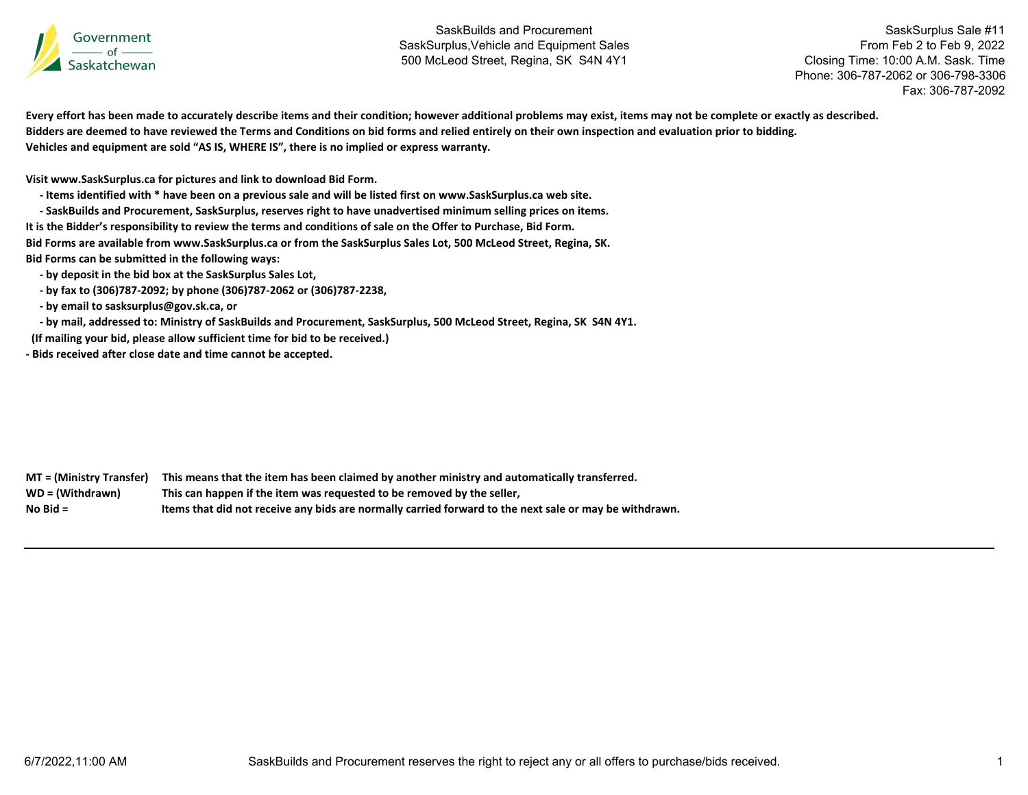

SaskSurplus Sale #11 From Feb 2 to Feb 9, 2022 Closing Time: 10:00 A.M. Sask. Time Phone: 306-787-2062 or 306-798-3306Fax: 306-787-2092

Every effort has been made to accurately describe items and their condition; however additional problems may exist, items may not be complete or exactly as described. Bidders are deemed to have reviewed the Terms and Conditions on bid forms and relied entirely on their own inspection and evaluation prior to bidding. **Vehicles and equipment are sold "AS IS, WHERE IS", there is no implied or express warranty.**

**Visit www.SaskSurplus.ca for pictures and link to download Bid Form.**

- Items identified with \* have been on a previous sale and will be listed first on www.SaskSurplus.ca web site.

- SaskBuilds and Procurement, SaskSurplus, reserves right to have unadvertised minimum selling prices on items.

It is the Bidder's responsibility to review the terms and conditions of sale on the Offer to Purchase, Bid Form.

Bid Forms are available from www.SaskSurplus.ca or from the SaskSurplus Sales Lot, 500 McLeod Street, Regina, SK.

**Bid Forms can be submitted in the following ways:**

 **‐ by deposit in the bid box at the SaskSurplus Sales Lot,**

 **‐ by fax to (306)787‐2092; by phone (306)787‐2062 or (306)787‐2238,**

 **‐ by email to sasksurplus@gov.sk.ca, or**

- by mail, addressed to: Ministry of SaskBuilds and Procurement, SaskSurplus, 500 McLeod Street, Regina, SK S4N 4Y1.

**(If mailing your bid, please allow sufficient time for bid to be received.)**

**‐ Bids received after close date and time cannot be accepted.**

MT = (Ministry Transfer) This means that the item has been claimed by another ministry and automatically transferred. WD = (Withdrawn) **<sup>=</sup> (Withdrawn) This can happen if the item was requested to be removed by the seller, No**Items that did not receive any bids are normally carried forward to the next sale or may be withdrawn.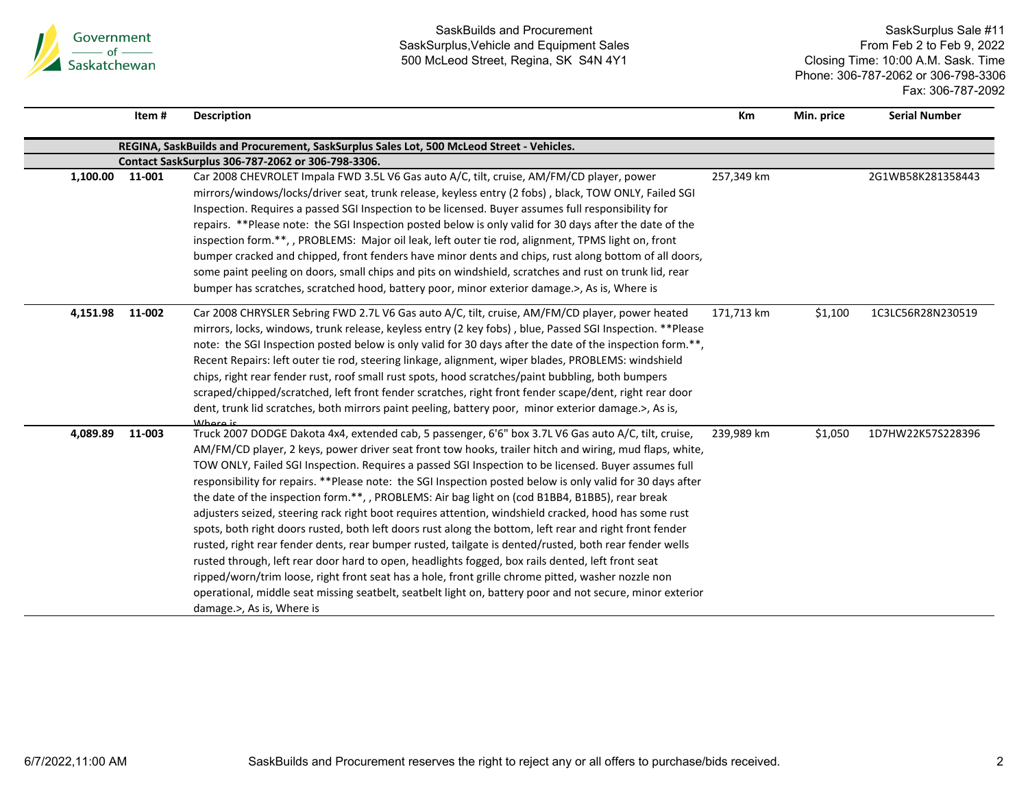

|                 | Item#  | <b>Description</b>                                                                                                                                                                                                                                                                                                                                                                                                                                                                                                                                                                                                                                                                                                                                                                                                                                                                                                                                                                                                                                                                                                                                                                                                          | Km         | Min. price | <b>Serial Number</b> |
|-----------------|--------|-----------------------------------------------------------------------------------------------------------------------------------------------------------------------------------------------------------------------------------------------------------------------------------------------------------------------------------------------------------------------------------------------------------------------------------------------------------------------------------------------------------------------------------------------------------------------------------------------------------------------------------------------------------------------------------------------------------------------------------------------------------------------------------------------------------------------------------------------------------------------------------------------------------------------------------------------------------------------------------------------------------------------------------------------------------------------------------------------------------------------------------------------------------------------------------------------------------------------------|------------|------------|----------------------|
|                 |        | REGINA, SaskBuilds and Procurement, SaskSurplus Sales Lot, 500 McLeod Street - Vehicles.                                                                                                                                                                                                                                                                                                                                                                                                                                                                                                                                                                                                                                                                                                                                                                                                                                                                                                                                                                                                                                                                                                                                    |            |            |                      |
|                 |        | Contact SaskSurplus 306-787-2062 or 306-798-3306.                                                                                                                                                                                                                                                                                                                                                                                                                                                                                                                                                                                                                                                                                                                                                                                                                                                                                                                                                                                                                                                                                                                                                                           |            |            |                      |
| 1,100.00 11-001 |        | Car 2008 CHEVROLET Impala FWD 3.5L V6 Gas auto A/C, tilt, cruise, AM/FM/CD player, power<br>mirrors/windows/locks/driver seat, trunk release, keyless entry (2 fobs), black, TOW ONLY, Failed SGI<br>Inspection. Requires a passed SGI Inspection to be licensed. Buyer assumes full responsibility for<br>repairs. **Please note: the SGI Inspection posted below is only valid for 30 days after the date of the<br>inspection form.**, , PROBLEMS: Major oil leak, left outer tie rod, alignment, TPMS light on, front<br>bumper cracked and chipped, front fenders have minor dents and chips, rust along bottom of all doors,<br>some paint peeling on doors, small chips and pits on windshield, scratches and rust on trunk lid, rear<br>bumper has scratches, scratched hood, battery poor, minor exterior damage.>, As is, Where is                                                                                                                                                                                                                                                                                                                                                                                | 257,349 km |            | 2G1WB58K281358443    |
| 4,151.98        | 11-002 | Car 2008 CHRYSLER Sebring FWD 2.7L V6 Gas auto A/C, tilt, cruise, AM/FM/CD player, power heated<br>mirrors, locks, windows, trunk release, keyless entry (2 key fobs), blue, Passed SGI Inspection. **Please<br>note: the SGI Inspection posted below is only valid for 30 days after the date of the inspection form.**,<br>Recent Repairs: left outer tie rod, steering linkage, alignment, wiper blades, PROBLEMS: windshield<br>chips, right rear fender rust, roof small rust spots, hood scratches/paint bubbling, both bumpers<br>scraped/chipped/scratched, left front fender scratches, right front fender scape/dent, right rear door<br>dent, trunk lid scratches, both mirrors paint peeling, battery poor, minor exterior damage.>, As is,<br>Whara is                                                                                                                                                                                                                                                                                                                                                                                                                                                         | 171,713 km | \$1,100    | 1C3LC56R28N230519    |
| 4,089.89        | 11-003 | Truck 2007 DODGE Dakota 4x4, extended cab, 5 passenger, 6'6" box 3.7L V6 Gas auto A/C, tilt, cruise,<br>AM/FM/CD player, 2 keys, power driver seat front tow hooks, trailer hitch and wiring, mud flaps, white,<br>TOW ONLY, Failed SGI Inspection. Requires a passed SGI Inspection to be licensed. Buyer assumes full<br>responsibility for repairs. **Please note: the SGI Inspection posted below is only valid for 30 days after<br>the date of the inspection form.**, , PROBLEMS: Air bag light on (cod B1BB4, B1BB5), rear break<br>adjusters seized, steering rack right boot requires attention, windshield cracked, hood has some rust<br>spots, both right doors rusted, both left doors rust along the bottom, left rear and right front fender<br>rusted, right rear fender dents, rear bumper rusted, tailgate is dented/rusted, both rear fender wells<br>rusted through, left rear door hard to open, headlights fogged, box rails dented, left front seat<br>ripped/worn/trim loose, right front seat has a hole, front grille chrome pitted, washer nozzle non<br>operational, middle seat missing seatbelt, seatbelt light on, battery poor and not secure, minor exterior<br>damage.>, As is, Where is | 239,989 km | \$1,050    | 1D7HW22K57S228396    |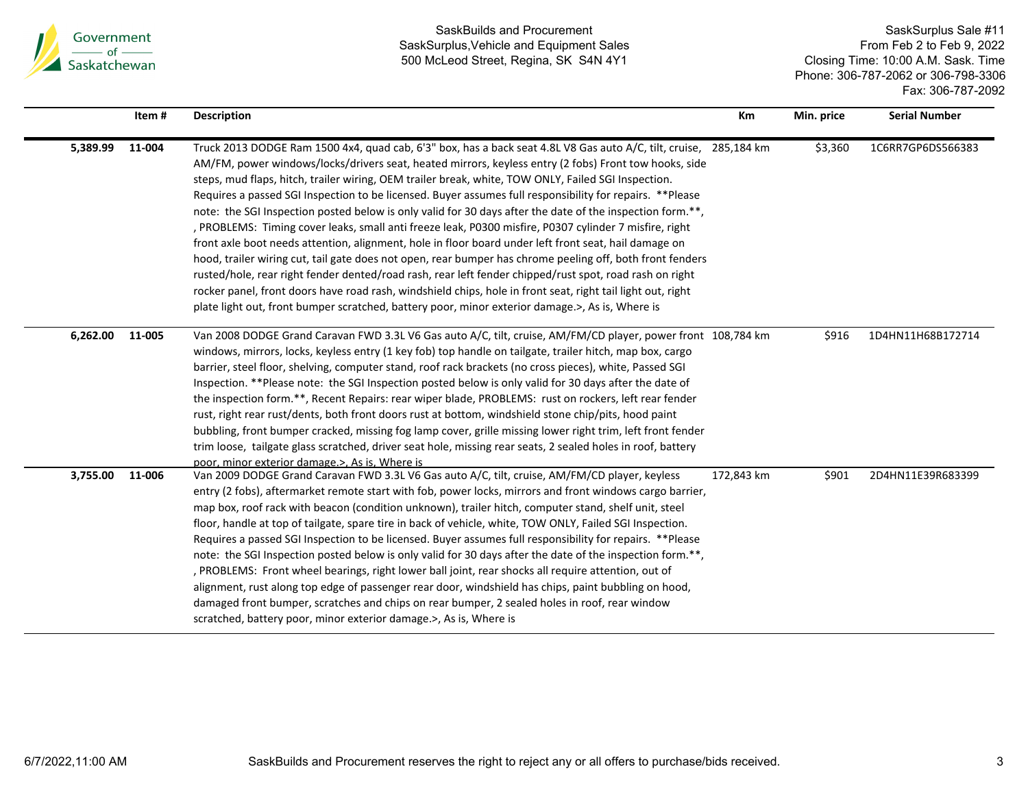

|          | Item#  | <b>Description</b>                                                                                                                                                                                                                                                                                                                                                                                                                                                                                                                                                                                                                                                                                                                                                                                                                                                                                                                                                                                                                                                                                                                                                                                                      | Km         | Min. price | <b>Serial Number</b> |
|----------|--------|-------------------------------------------------------------------------------------------------------------------------------------------------------------------------------------------------------------------------------------------------------------------------------------------------------------------------------------------------------------------------------------------------------------------------------------------------------------------------------------------------------------------------------------------------------------------------------------------------------------------------------------------------------------------------------------------------------------------------------------------------------------------------------------------------------------------------------------------------------------------------------------------------------------------------------------------------------------------------------------------------------------------------------------------------------------------------------------------------------------------------------------------------------------------------------------------------------------------------|------------|------------|----------------------|
| 5,389.99 | 11-004 | Truck 2013 DODGE Ram 1500 4x4, quad cab, 6'3" box, has a back seat 4.8L V8 Gas auto A/C, tilt, cruise, 285,184 km<br>AM/FM, power windows/locks/drivers seat, heated mirrors, keyless entry (2 fobs) Front tow hooks, side<br>steps, mud flaps, hitch, trailer wiring, OEM trailer break, white, TOW ONLY, Failed SGI Inspection.<br>Requires a passed SGI Inspection to be licensed. Buyer assumes full responsibility for repairs. **Please<br>note: the SGI Inspection posted below is only valid for 30 days after the date of the inspection form.**,<br>, PROBLEMS: Timing cover leaks, small anti freeze leak, P0300 misfire, P0307 cylinder 7 misfire, right<br>front axle boot needs attention, alignment, hole in floor board under left front seat, hail damage on<br>hood, trailer wiring cut, tail gate does not open, rear bumper has chrome peeling off, both front fenders<br>rusted/hole, rear right fender dented/road rash, rear left fender chipped/rust spot, road rash on right<br>rocker panel, front doors have road rash, windshield chips, hole in front seat, right tail light out, right<br>plate light out, front bumper scratched, battery poor, minor exterior damage.>, As is, Where is |            | \$3,360    | 1C6RR7GP6DS566383    |
| 6,262.00 | 11-005 | Van 2008 DODGE Grand Caravan FWD 3.3L V6 Gas auto A/C, tilt, cruise, AM/FM/CD player, power front 108,784 km<br>windows, mirrors, locks, keyless entry (1 key fob) top handle on tailgate, trailer hitch, map box, cargo<br>barrier, steel floor, shelving, computer stand, roof rack brackets (no cross pieces), white, Passed SGI<br>Inspection. **Please note: the SGI Inspection posted below is only valid for 30 days after the date of<br>the inspection form.**, Recent Repairs: rear wiper blade, PROBLEMS: rust on rockers, left rear fender<br>rust, right rear rust/dents, both front doors rust at bottom, windshield stone chip/pits, hood paint<br>bubbling, front bumper cracked, missing fog lamp cover, grille missing lower right trim, left front fender<br>trim loose, tailgate glass scratched, driver seat hole, missing rear seats, 2 sealed holes in roof, battery<br>poor, minor exterior damage.>, As is, Where is                                                                                                                                                                                                                                                                           |            | \$916      | 1D4HN11H68B172714    |
| 3,755.00 | 11-006 | Van 2009 DODGE Grand Caravan FWD 3.3L V6 Gas auto A/C, tilt, cruise, AM/FM/CD player, keyless<br>entry (2 fobs), aftermarket remote start with fob, power locks, mirrors and front windows cargo barrier,<br>map box, roof rack with beacon (condition unknown), trailer hitch, computer stand, shelf unit, steel<br>floor, handle at top of tailgate, spare tire in back of vehicle, white, TOW ONLY, Failed SGI Inspection.<br>Requires a passed SGI Inspection to be licensed. Buyer assumes full responsibility for repairs. ** Please<br>note: the SGI Inspection posted below is only valid for 30 days after the date of the inspection form.**,<br>, PROBLEMS: Front wheel bearings, right lower ball joint, rear shocks all require attention, out of<br>alignment, rust along top edge of passenger rear door, windshield has chips, paint bubbling on hood,<br>damaged front bumper, scratches and chips on rear bumper, 2 sealed holes in roof, rear window<br>scratched, battery poor, minor exterior damage.>, As is, Where is                                                                                                                                                                            | 172,843 km | \$901      | 2D4HN11E39R683399    |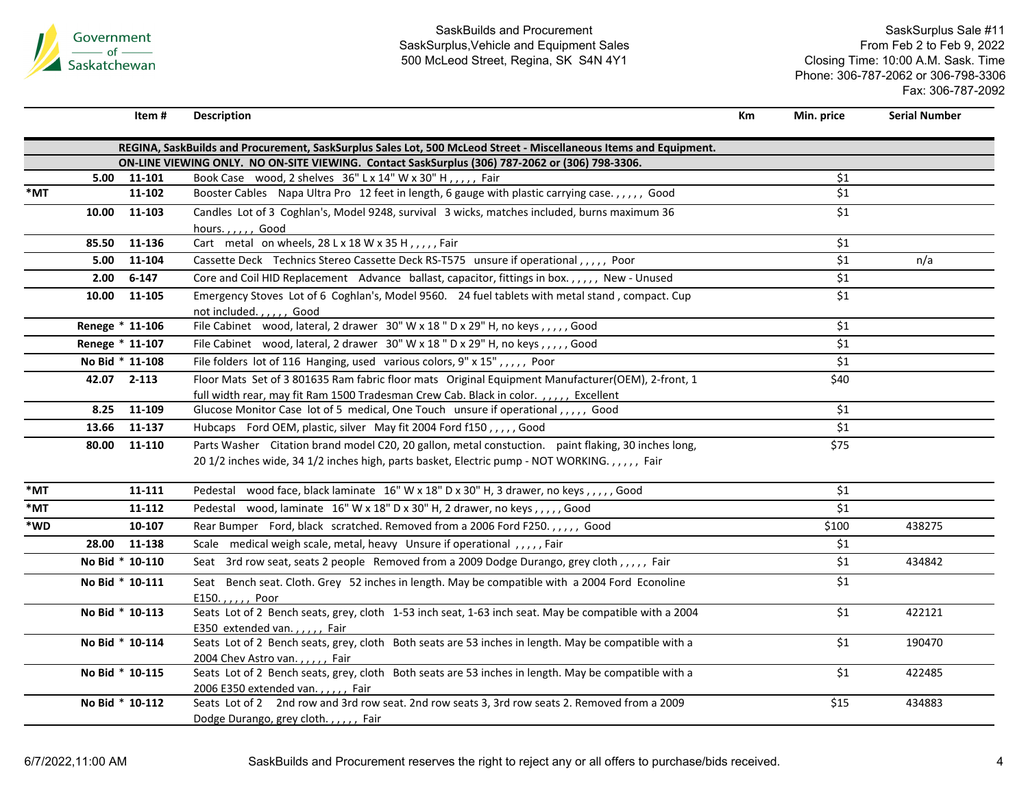

|     |                 | Item#     | <b>Description</b>                                                                                                                                                                                  | Km | Min. price | <b>Serial Number</b> |
|-----|-----------------|-----------|-----------------------------------------------------------------------------------------------------------------------------------------------------------------------------------------------------|----|------------|----------------------|
|     |                 |           | REGINA, SaskBuilds and Procurement, SaskSurplus Sales Lot, 500 McLeod Street - Miscellaneous Items and Equipment.                                                                                   |    |            |                      |
|     |                 |           | ON-LINE VIEWING ONLY. NO ON-SITE VIEWING. Contact SaskSurplus (306) 787-2062 or (306) 798-3306.                                                                                                     |    |            |                      |
|     | 5.00            | 11-101    | Book Case wood, 2 shelves 36" L x 14" W x 30" H,,,,, Fair                                                                                                                                           |    | \$1        |                      |
| *MT |                 | 11-102    | Booster Cables Napa Ultra Pro 12 feet in length, 6 gauge with plastic carrying case.,,,,, Good                                                                                                      |    | \$1        |                      |
|     | 10.00           | 11-103    | Candles Lot of 3 Coghlan's, Model 9248, survival 3 wicks, matches included, burns maximum 36<br>hours.,,,,, Good                                                                                    |    | \$1        |                      |
|     | 85.50           | 11-136    | Cart metal on wheels, 28 L x 18 W x 35 H, , , , , Fair                                                                                                                                              |    | \$1        |                      |
|     | 5.00            | 11-104    | Cassette Deck Technics Stereo Cassette Deck RS-T575 unsure if operational,,,,, Poor                                                                                                                 |    | \$1        | n/a                  |
|     | 2.00            | $6 - 147$ | Core and Coil HID Replacement Advance ballast, capacitor, fittings in box.,,,,, New - Unused                                                                                                        |    | \$1        |                      |
|     | 10.00           | 11-105    | Emergency Stoves Lot of 6 Coghlan's, Model 9560. 24 fuel tablets with metal stand, compact. Cup<br>not included.,,,,,, Good                                                                         |    | \$1        |                      |
|     | Renege * 11-106 |           | File Cabinet wood, lateral, 2 drawer 30" W x 18 " D x 29" H, no keys,,,,, Good                                                                                                                      |    | \$1        |                      |
|     | Renege * 11-107 |           | File Cabinet wood, lateral, 2 drawer 30" W x 18 " D x 29" H, no keys,,,,, Good                                                                                                                      |    | \$1        |                      |
|     | No Bid * 11-108 |           | File folders lot of 116 Hanging, used various colors, 9" x 15",,,,, Poor                                                                                                                            |    | \$1        |                      |
|     | 42.07 2-113     |           | Floor Mats Set of 3 801635 Ram fabric floor mats Original Equipment Manufacturer(OEM), 2-front, 1<br>full width rear, may fit Ram 1500 Tradesman Crew Cab. Black in color.,,,,, Excellent           |    | \$40       |                      |
|     | 8.25            | 11-109    | Glucose Monitor Case lot of 5 medical, One Touch unsure if operational,,,,, Good                                                                                                                    |    | \$1        |                      |
|     | 13.66           | 11-137    | Hubcaps Ford OEM, plastic, silver May fit 2004 Ford f150,,,,,Good                                                                                                                                   |    | \$1        |                      |
|     | 80.00           | 11-110    | Parts Washer Citation brand model C20, 20 gallon, metal constuction. paint flaking, 30 inches long,<br>20 1/2 inches wide, 34 1/2 inches high, parts basket, Electric pump - NOT WORKING.,,,,, Fair |    | \$75       |                      |
| *MT |                 | 11-111    | Pedestal wood face, black laminate 16" W x 18" D x 30" H, 3 drawer, no keys,,,,,, Good                                                                                                              |    | \$1        |                      |
| *MT |                 | 11-112    | Pedestal wood, laminate 16" W x 18" D x 30" H, 2 drawer, no keys, , , , , Good                                                                                                                      |    | \$1        |                      |
| *WD |                 | 10-107    | Rear Bumper Ford, black scratched. Removed from a 2006 Ford F250.,,,,, Good                                                                                                                         |    | \$100      | 438275               |
|     | 28.00           | 11-138    | Scale medical weigh scale, metal, heavy Unsure if operational,,,,,Fair                                                                                                                              |    | \$1        |                      |
|     | No Bid * 10-110 |           | Seat 3rd row seat, seats 2 people Removed from a 2009 Dodge Durango, grey cloth,,,,,, Fair                                                                                                          |    | \$1        | 434842               |
|     | No Bid * 10-111 |           | Seat Bench seat. Cloth. Grey 52 inches in length. May be compatible with a 2004 Ford Econoline<br>E150.,,,,, Poor                                                                                   |    | \$1        |                      |
|     | No Bid * 10-113 |           | Seats Lot of 2 Bench seats, grey, cloth 1-53 inch seat, 1-63 inch seat. May be compatible with a 2004<br>E350 extended van.,,,,, Fair                                                               |    | \$1        | 422121               |
|     | No Bid * 10-114 |           | Seats Lot of 2 Bench seats, grey, cloth Both seats are 53 inches in length. May be compatible with a<br>2004 Chev Astro van.,,,,, Fair                                                              |    | \$1        | 190470               |
|     | No Bid * 10-115 |           | Seats Lot of 2 Bench seats, grey, cloth Both seats are 53 inches in length. May be compatible with a<br>2006 E350 extended van.,,,,, Fair                                                           |    | \$1        | 422485               |
|     | No Bid * 10-112 |           | Seats Lot of 2 2nd row and 3rd row seat. 2nd row seats 3, 3rd row seats 2. Removed from a 2009<br>Dodge Durango, grey cloth.,,,,, Fair                                                              |    | \$15       | 434883               |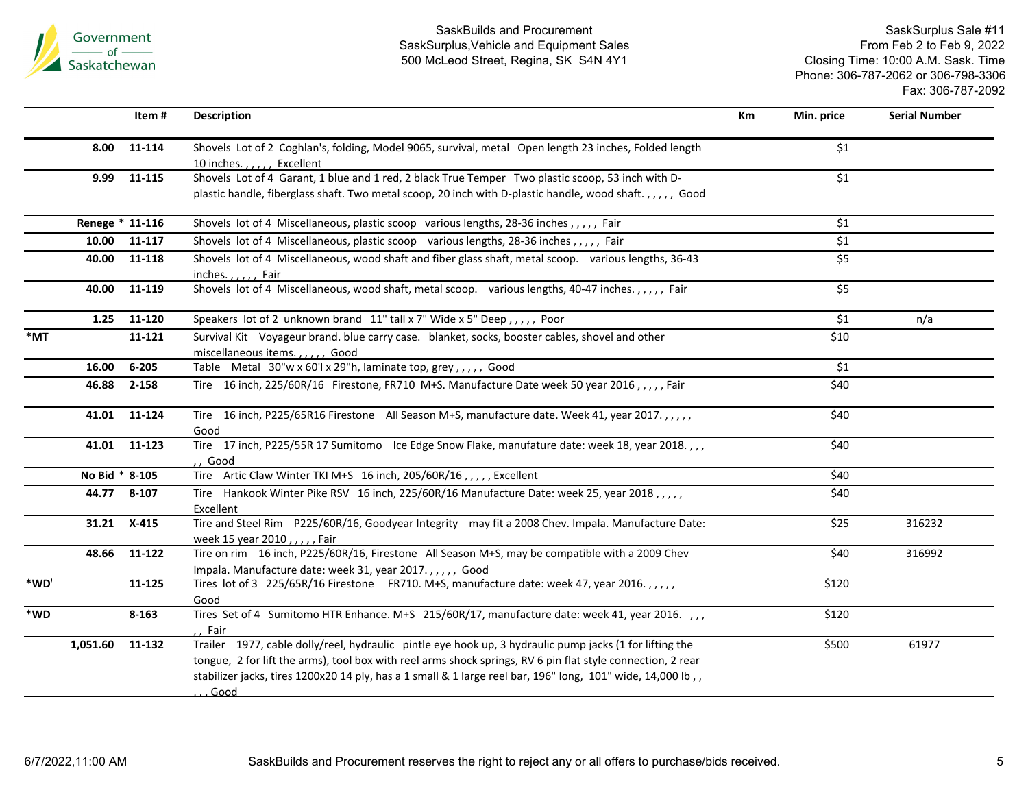

|        |                 | Item#        | <b>Description</b>                                                                                                                                                                                                                                                                                                                             | Km | Min. price | <b>Serial Number</b> |
|--------|-----------------|--------------|------------------------------------------------------------------------------------------------------------------------------------------------------------------------------------------------------------------------------------------------------------------------------------------------------------------------------------------------|----|------------|----------------------|
|        | 8.00            | 11-114       | Shovels Lot of 2 Coghlan's, folding, Model 9065, survival, metal Open length 23 inches, Folded length<br>10 inches.,,,,, Excellent                                                                                                                                                                                                             |    | \$1        |                      |
|        | 9.99            | 11-115       | Shovels Lot of 4 Garant, 1 blue and 1 red, 2 black True Temper Two plastic scoop, 53 inch with D-<br>plastic handle, fiberglass shaft. Two metal scoop, 20 inch with D-plastic handle, wood shaft.,,,,,, Good                                                                                                                                  |    | \$1        |                      |
|        | Renege * 11-116 |              | Shovels lot of 4 Miscellaneous, plastic scoop various lengths, 28-36 inches,,,,, Fair                                                                                                                                                                                                                                                          |    | \$1        |                      |
|        | 10.00           | 11-117       | Shovels lot of 4 Miscellaneous, plastic scoop various lengths, 28-36 inches,,,,, Fair                                                                                                                                                                                                                                                          |    | \$1        |                      |
|        | 40.00           | 11-118       | Shovels lot of 4 Miscellaneous, wood shaft and fiber glass shaft, metal scoop. various lengths, 36-43<br>inches.,,,,, Fair                                                                                                                                                                                                                     |    | \$5        |                      |
|        | 40.00           | 11-119       | Shovels lot of 4 Miscellaneous, wood shaft, metal scoop. various lengths, 40-47 inches.,,,,, Fair                                                                                                                                                                                                                                              |    | \$5        |                      |
|        | 1.25            | 11-120       | Speakers lot of 2 unknown brand 11" tall x 7" Wide x 5" Deep,,,,, Poor                                                                                                                                                                                                                                                                         |    | \$1        | n/a                  |
| $*$ MT |                 | 11-121       | Survival Kit Voyageur brand. blue carry case. blanket, socks, booster cables, shovel and other<br>miscellaneous items.,,,,, Good                                                                                                                                                                                                               |    | \$10       |                      |
|        | 16.00           | $6 - 205$    | Table Metal 30"w x 60'l x 29"h, laminate top, grey,,,,, Good                                                                                                                                                                                                                                                                                   |    | \$1        |                      |
|        | 46.88           | 2-158        | Tire 16 inch, 225/60R/16 Firestone, FR710 M+S. Manufacture Date week 50 year 2016,,,,,Fair                                                                                                                                                                                                                                                     |    | \$40       |                      |
|        | 41.01           | 11-124       | Tire 16 inch, P225/65R16 Firestone All Season M+S, manufacture date. Week 41, year 2017.,,,,,<br>Good                                                                                                                                                                                                                                          |    | \$40       |                      |
|        |                 | 41.01 11-123 | Tire 17 inch, P225/55R 17 Sumitomo Ice Edge Snow Flake, manufature date: week 18, year 2018.,,,<br>,, Good                                                                                                                                                                                                                                     |    | \$40       |                      |
|        | No Bid * 8-105  |              | Tire Artic Claw Winter TKI M+S 16 inch, 205/60R/16,,,,, Excellent                                                                                                                                                                                                                                                                              |    | \$40       |                      |
|        |                 | 44.77 8-107  | Tire Hankook Winter Pike RSV 16 inch, 225/60R/16 Manufacture Date: week 25, year 2018,,,,,<br>Excellent                                                                                                                                                                                                                                        |    | \$40       |                      |
|        |                 | 31.21 X-415  | Tire and Steel Rim P225/60R/16, Goodyear Integrity may fit a 2008 Chev. Impala. Manufacture Date:<br>week 15 year 2010, , , , , Fair                                                                                                                                                                                                           |    | \$25       | 316232               |
|        | 48.66           | 11-122       | Tire on rim 16 inch, P225/60R/16, Firestone All Season M+S, may be compatible with a 2009 Chev<br>Impala. Manufacture date: week 31, year 2017.,,,,, Good                                                                                                                                                                                      |    | \$40       | 316992               |
| *WD'   |                 | 11-125       | Tires lot of 3 225/65R/16 Firestone FR710. M+S, manufacture date: week 47, year 2016.,,,,,<br>Good                                                                                                                                                                                                                                             |    | \$120      |                      |
| *WD    |                 | $8 - 163$    | Tires Set of 4 Sumitomo HTR Enhance. M+S 215/60R/17, manufacture date: week 41, year 2016. , , ,<br>, Fair                                                                                                                                                                                                                                     |    | \$120      |                      |
|        | 1,051.60 11-132 |              | Trailer 1977, cable dolly/reel, hydraulic pintle eye hook up, 3 hydraulic pump jacks (1 for lifting the<br>tongue, 2 for lift the arms), tool box with reel arms shock springs, RV 6 pin flat style connection, 2 rear<br>stabilizer jacks, tires 1200x20 14 ply, has a 1 small & 1 large reel bar, 196" long, 101" wide, 14,000 lb, ,<br>Good |    | \$500      | 61977                |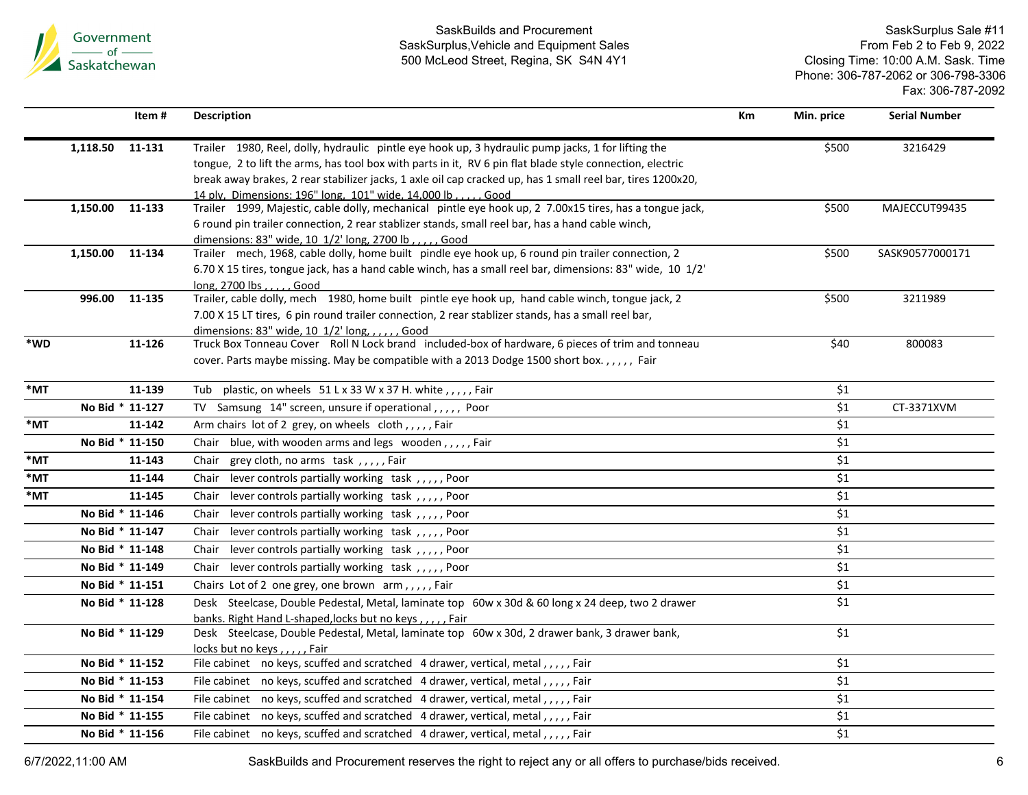

SaskSurplus Sale #11 From Feb 2 to Feb 9, 2022 Closing Time: 10:00 A.M. Sask. Time Phone: 306-787-2062 or 306-798-3306 Fax: 306-787-2092

|        | Item #             | <b>Description</b>                                                                                                                                                  | Km | Min. price         | <b>Serial Number</b> |
|--------|--------------------|---------------------------------------------------------------------------------------------------------------------------------------------------------------------|----|--------------------|----------------------|
|        | 1,118.50<br>11-131 | Trailer 1980, Reel, dolly, hydraulic pintle eye hook up, 3 hydraulic pump jacks, 1 for lifting the                                                                  |    | \$500              | 3216429              |
|        |                    | tongue, 2 to lift the arms, has tool box with parts in it, RV 6 pin flat blade style connection, electric                                                           |    |                    |                      |
|        |                    | break away brakes, 2 rear stabilizer jacks, 1 axle oil cap cracked up, has 1 small reel bar, tires 1200x20,                                                         |    |                    |                      |
|        | 1,150.00 11-133    | 14 plv. Dimensions: 196" long. 101" wide. 14.000 lb Good<br>Trailer 1999, Majestic, cable dolly, mechanical pintle eye hook up, 2 7.00x15 tires, has a tongue jack, |    | \$500              | MAJECCUT99435        |
|        |                    | 6 round pin trailer connection, 2 rear stablizer stands, small reel bar, has a hand cable winch,                                                                    |    |                    |                      |
|        |                    | dimensions: 83" wide, 10 1/2' long, 2700 lb, ., ., . Good                                                                                                           |    |                    |                      |
|        | 1,150.00 11-134    | Trailer mech, 1968, cable dolly, home built pindle eye hook up, 6 round pin trailer connection, 2                                                                   |    | \$500              | SASK90577000171      |
|        |                    | 6.70 X 15 tires, tongue jack, has a hand cable winch, has a small reel bar, dimensions: 83" wide, 10 1/2'                                                           |    |                    |                      |
|        |                    | long, $2700$ lbs $\ldots$ , Good                                                                                                                                    |    |                    |                      |
|        | 11-135<br>996.00   | Trailer, cable dolly, mech 1980, home built pintle eye hook up, hand cable winch, tongue jack, 2                                                                    |    | \$500              | 3211989              |
|        |                    | 7.00 X 15 LT tires, 6 pin round trailer connection, 2 rear stablizer stands, has a small reel bar,                                                                  |    |                    |                      |
|        |                    | dimensions: 83" wide, 10 1/2' long, , , , , , Good                                                                                                                  |    |                    |                      |
| *WD    | 11-126             | Truck Box Tonneau Cover Roll N Lock brand included-box of hardware, 6 pieces of trim and tonneau                                                                    |    | \$40               | 800083               |
|        |                    | cover. Parts maybe missing. May be compatible with a 2013 Dodge 1500 short box.,,,,, Fair                                                                           |    |                    |                      |
| $*$ MT | 11-139             | Tub plastic, on wheels 51 L x 33 W x 37 H. white, , , , , , Fair                                                                                                    |    | \$1                |                      |
|        | No Bid * 11-127    | TV Samsung 14" screen, unsure if operational,,,,, Poor                                                                                                              |    | \$1                | CT-3371XVM           |
| *MT    | 11-142             | Arm chairs lot of 2 grey, on wheels cloth,,,,,Fair                                                                                                                  |    | \$1                |                      |
|        | No Bid * 11-150    | Chair blue, with wooden arms and legs wooden,,,,,Fair                                                                                                               |    | \$1                |                      |
| *MT    | 11-143             | grey cloth, no arms task, ,,,,, Fair<br>Chair                                                                                                                       |    | \$1                |                      |
| *MT    | 11-144             | lever controls partially working task,,,,,,Poor<br>Chair                                                                                                            |    | \$1                |                      |
| *MT    | 11-145             | lever controls partially working task,,,,,,Poor<br>Chair                                                                                                            |    | \$1                |                      |
|        | No Bid * 11-146    | lever controls partially working task,,,,,,Poor<br>Chair                                                                                                            |    | \$1                |                      |
|        | No Bid * 11-147    | lever controls partially working task,,,,,,Poor<br>Chair                                                                                                            |    | \$1                |                      |
|        | No Bid * 11-148    | lever controls partially working task,,,,,,Poor<br>Chair                                                                                                            |    | \$1                |                      |
|        | No Bid * 11-149    | Chair lever controls partially working task,,,,,,Poor                                                                                                               |    | \$1                |                      |
|        | No Bid * 11-151    | Chairs Lot of 2 one grey, one brown arm,,,,,Fair                                                                                                                    |    | \$1                |                      |
|        | No Bid * 11-128    | Desk Steelcase, Double Pedestal, Metal, laminate top 60w x 30d & 60 long x 24 deep, two 2 drawer                                                                    |    | \$1                |                      |
|        |                    | banks. Right Hand L-shaped, locks but no keys,,,,,Fair                                                                                                              |    |                    |                      |
|        | No Bid * 11-129    | Desk Steelcase, Double Pedestal, Metal, laminate top 60w x 30d, 2 drawer bank, 3 drawer bank,                                                                       |    | \$1                |                      |
|        |                    | locks but no keys,,,,,,Fair                                                                                                                                         |    |                    |                      |
|        | No Bid * 11-152    | File cabinet no keys, scuffed and scratched 4 drawer, vertical, metal,,,,,Fair                                                                                      |    | \$1                |                      |
|        | No Bid * 11-153    | File cabinet no keys, scuffed and scratched 4 drawer, vertical, metal,,,,,Fair                                                                                      |    | \$1                |                      |
|        | No Bid * 11-154    | File cabinet no keys, scuffed and scratched 4 drawer, vertical, metal,,,,,Fair                                                                                      |    | $\overline{\xi_1}$ |                      |
|        | No Bid * 11-155    | File cabinet no keys, scuffed and scratched 4 drawer, vertical, metal,,,,,Fair                                                                                      |    | \$1                |                      |
|        | No Bid * 11-156    | File cabinet no keys, scuffed and scratched 4 drawer, vertical, metal,,,,,Fair                                                                                      |    | \$1                |                      |
|        |                    |                                                                                                                                                                     |    |                    |                      |

6/7/2022,11:00 AM SaskBuilds and Procurement reserves the right to reject any or all offers to purchase/bids received. 6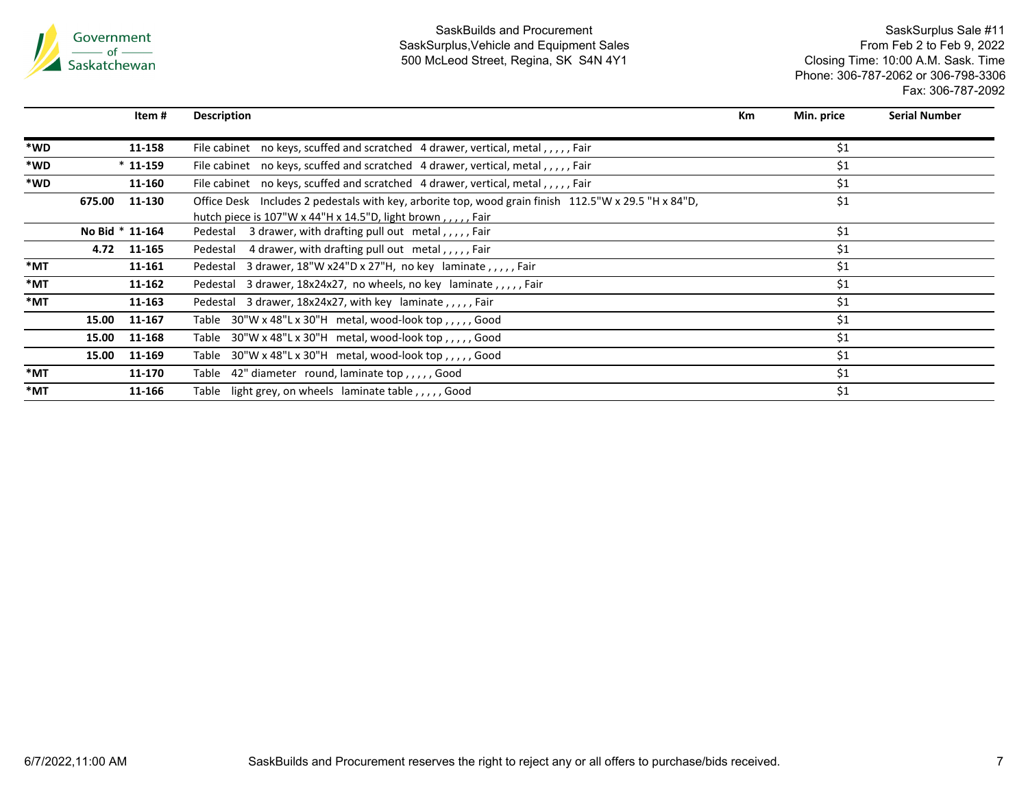

|        | ltem #           | <b>Description</b>                                                                                                                                                                | <b>Km</b> | Min. price | <b>Serial Number</b> |
|--------|------------------|-----------------------------------------------------------------------------------------------------------------------------------------------------------------------------------|-----------|------------|----------------------|
| *WD    | 11-158           | File cabinet no keys, scuffed and scratched 4 drawer, vertical, metal,,,,,, Fair                                                                                                  |           | \$1        |                      |
| *WD    | $*11-159$        | File cabinet no keys, scuffed and scratched 4 drawer, vertical, metal,,,,, Fair                                                                                                   |           | \$1        |                      |
| *WD    | 11-160           | File cabinet no keys, scuffed and scratched 4 drawer, vertical, metal,,,,, Fair                                                                                                   |           | \$1        |                      |
|        | 11-130<br>675.00 | Office Desk Includes 2 pedestals with key, arborite top, wood grain finish 112.5"W x 29.5 "H x 84"D,<br>hutch piece is $107"W \times 44"H \times 14.5"D$ , light brown,,,,,, Fair |           | \$1        |                      |
|        | No Bid * 11-164  | Pedestal 3 drawer, with drafting pull out metal,,,,,Fair                                                                                                                          |           | \$1        |                      |
|        | 4.72<br>11-165   | Pedestal 4 drawer, with drafting pull out metal,,,,,Fair                                                                                                                          |           | \$1        |                      |
| $*$ MT | 11-161           | Pedestal 3 drawer, 18"W x24"D x 27"H, no key laminate, , , , , Fair                                                                                                               |           | \$1        |                      |
| *MT    | 11-162           | Pedestal 3 drawer, 18x24x27, no wheels, no key laminate,,,,,, Fair                                                                                                                |           | \$1        |                      |
| *MT    | 11-163           | Pedestal 3 drawer, $18x24x27$ , with key laminate, $\mu$ , $\mu$ , Fair                                                                                                           |           | \$1        |                      |
|        | 15.00<br>11-167  | Table $30''W \times 48''L \times 30''H$ metal, wood-look top,,,,,, Good                                                                                                           |           | \$1        |                      |
|        | 15.00<br>11-168  | Table $30''W \times 48''L \times 30''H$ metal, wood-look top,,,,,, Good                                                                                                           |           | \$1        |                      |
|        | 15.00<br>11-169  | Table $30''W \times 48''L \times 30''H$ metal, wood-look top,,,,,, Good                                                                                                           |           | \$1        |                      |
| *MT    | 11-170           | Table 42" diameter round, laminate top,,,,,Good                                                                                                                                   |           | \$1        |                      |
| *MT    | 11-166           | Table light grey, on wheels laminate table,,,,, Good                                                                                                                              |           | \$1        |                      |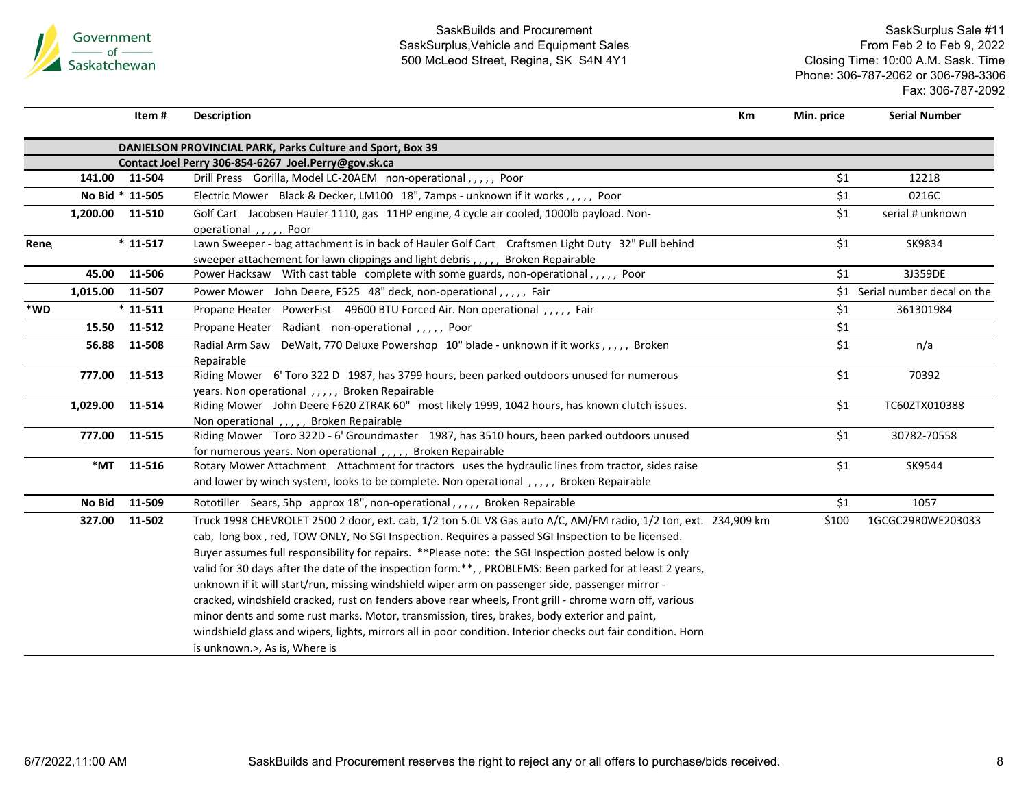

SaskSurplus Sale #11 From Feb 2 to Feb 9, 2022 Closing Time: 10:00 A.M. Sask. Time Phone: 306-787-2062 or 306-798-3306 Fax: 306-787-2092

**Item**

**# Description Km Min. price Serial Number**

|      | DANIELSON PROVINCIAL PARK, Parks Culture and Sport, Box 39 |                 |                                                                                                                                                                                                                                                                                                                                                                                                                                                                                                                                                                                                                                                                                                                                                                                                                                                                                                          |       |                                |  |  |
|------|------------------------------------------------------------|-----------------|----------------------------------------------------------------------------------------------------------------------------------------------------------------------------------------------------------------------------------------------------------------------------------------------------------------------------------------------------------------------------------------------------------------------------------------------------------------------------------------------------------------------------------------------------------------------------------------------------------------------------------------------------------------------------------------------------------------------------------------------------------------------------------------------------------------------------------------------------------------------------------------------------------|-------|--------------------------------|--|--|
|      |                                                            |                 | Contact Joel Perry 306-854-6267 Joel.Perry@gov.sk.ca                                                                                                                                                                                                                                                                                                                                                                                                                                                                                                                                                                                                                                                                                                                                                                                                                                                     |       |                                |  |  |
|      |                                                            | 141.00 11-504   | Drill Press Gorilla, Model LC-20AEM non-operational,,,,, Poor                                                                                                                                                                                                                                                                                                                                                                                                                                                                                                                                                                                                                                                                                                                                                                                                                                            | \$1   | 12218                          |  |  |
|      |                                                            | No Bid * 11-505 | Electric Mower Black & Decker, LM100 18", 7amps - unknown if it works,,,,,, Poor                                                                                                                                                                                                                                                                                                                                                                                                                                                                                                                                                                                                                                                                                                                                                                                                                         | \$1   | 0216C                          |  |  |
|      | 1,200.00 11-510                                            |                 | Golf Cart Jacobsen Hauler 1110, gas 11HP engine, 4 cycle air cooled, 1000lb payload. Non-<br>operational , Poor                                                                                                                                                                                                                                                                                                                                                                                                                                                                                                                                                                                                                                                                                                                                                                                          | \$1   | serial # unknown               |  |  |
| Rene |                                                            | $*11-517$       | Lawn Sweeper - bag attachment is in back of Hauler Golf Cart Craftsmen Light Duty 32" Pull behind<br>sweeper attachement for lawn clippings and light debris,,,,, Broken Repairable                                                                                                                                                                                                                                                                                                                                                                                                                                                                                                                                                                                                                                                                                                                      | \$1   | SK9834                         |  |  |
|      | 45.00                                                      | 11-506          | Power Hacksaw With cast table complete with some guards, non-operational,,,,,, Poor                                                                                                                                                                                                                                                                                                                                                                                                                                                                                                                                                                                                                                                                                                                                                                                                                      | \$1   | 3J359DE                        |  |  |
|      | 1,015.00                                                   | 11-507          | Power Mower John Deere, F525 48" deck, non-operational,,,,, Fair                                                                                                                                                                                                                                                                                                                                                                                                                                                                                                                                                                                                                                                                                                                                                                                                                                         |       | \$1 Serial number decal on the |  |  |
| *WD  |                                                            | $*11-511$       | Propane Heater PowerFist 49600 BTU Forced Air. Non operational,,,,, Fair                                                                                                                                                                                                                                                                                                                                                                                                                                                                                                                                                                                                                                                                                                                                                                                                                                 | \$1   | 361301984                      |  |  |
|      |                                                            | 15.50 11-512    | Propane Heater Radiant non-operational,,,,, Poor                                                                                                                                                                                                                                                                                                                                                                                                                                                                                                                                                                                                                                                                                                                                                                                                                                                         | \$1   |                                |  |  |
|      | 56.88                                                      | 11-508          | Radial Arm Saw DeWalt, 770 Deluxe Powershop 10" blade - unknown if it works,,,,,, Broken<br>Repairable                                                                                                                                                                                                                                                                                                                                                                                                                                                                                                                                                                                                                                                                                                                                                                                                   | \$1   | n/a                            |  |  |
|      |                                                            | 777.00 11-513   | Riding Mower 6' Toro 322 D 1987, has 3799 hours, been parked outdoors unused for numerous<br>years. Non operational,,,,, Broken Repairable                                                                                                                                                                                                                                                                                                                                                                                                                                                                                                                                                                                                                                                                                                                                                               | \$1   | 70392                          |  |  |
|      | 1,029.00                                                   | 11-514          | Riding Mower John Deere F620 ZTRAK 60" most likely 1999, 1042 hours, has known clutch issues.<br>Non operational, ,,,, Broken Repairable                                                                                                                                                                                                                                                                                                                                                                                                                                                                                                                                                                                                                                                                                                                                                                 | \$1   | TC60ZTX010388                  |  |  |
|      |                                                            | 777.00 11-515   | Riding Mower Toro 322D - 6' Groundmaster 1987, has 3510 hours, been parked outdoors unused<br>for numerous years. Non operational, , Broken Repairable                                                                                                                                                                                                                                                                                                                                                                                                                                                                                                                                                                                                                                                                                                                                                   | \$1   | 30782-70558                    |  |  |
|      |                                                            | *MT 11-516      | Rotary Mower Attachment Attachment for tractors uses the hydraulic lines from tractor, sides raise<br>and lower by winch system, looks to be complete. Non operational,,,,, Broken Repairable                                                                                                                                                                                                                                                                                                                                                                                                                                                                                                                                                                                                                                                                                                            | \$1   | SK9544                         |  |  |
|      | No Bid                                                     | 11-509          | Rototiller Sears, 5hp approx 18", non-operational,,,,, Broken Repairable                                                                                                                                                                                                                                                                                                                                                                                                                                                                                                                                                                                                                                                                                                                                                                                                                                 | \$1   | 1057                           |  |  |
|      | 327.00                                                     | 11-502          | Truck 1998 CHEVROLET 2500 2 door, ext. cab, 1/2 ton 5.0L V8 Gas auto A/C, AM/FM radio, 1/2 ton, ext. 234,909 km<br>cab, long box, red, TOW ONLY, No SGI Inspection. Requires a passed SGI Inspection to be licensed.<br>Buyer assumes full responsibility for repairs. **Please note: the SGI Inspection posted below is only<br>valid for 30 days after the date of the inspection form.**, PROBLEMS: Been parked for at least 2 years,<br>unknown if it will start/run, missing windshield wiper arm on passenger side, passenger mirror -<br>cracked, windshield cracked, rust on fenders above rear wheels, Front grill - chrome worn off, various<br>minor dents and some rust marks. Motor, transmission, tires, brakes, body exterior and paint,<br>windshield glass and wipers, lights, mirrors all in poor condition. Interior checks out fair condition. Horn<br>is unknown.>, As is, Where is | \$100 | 1GCGC29R0WE203033              |  |  |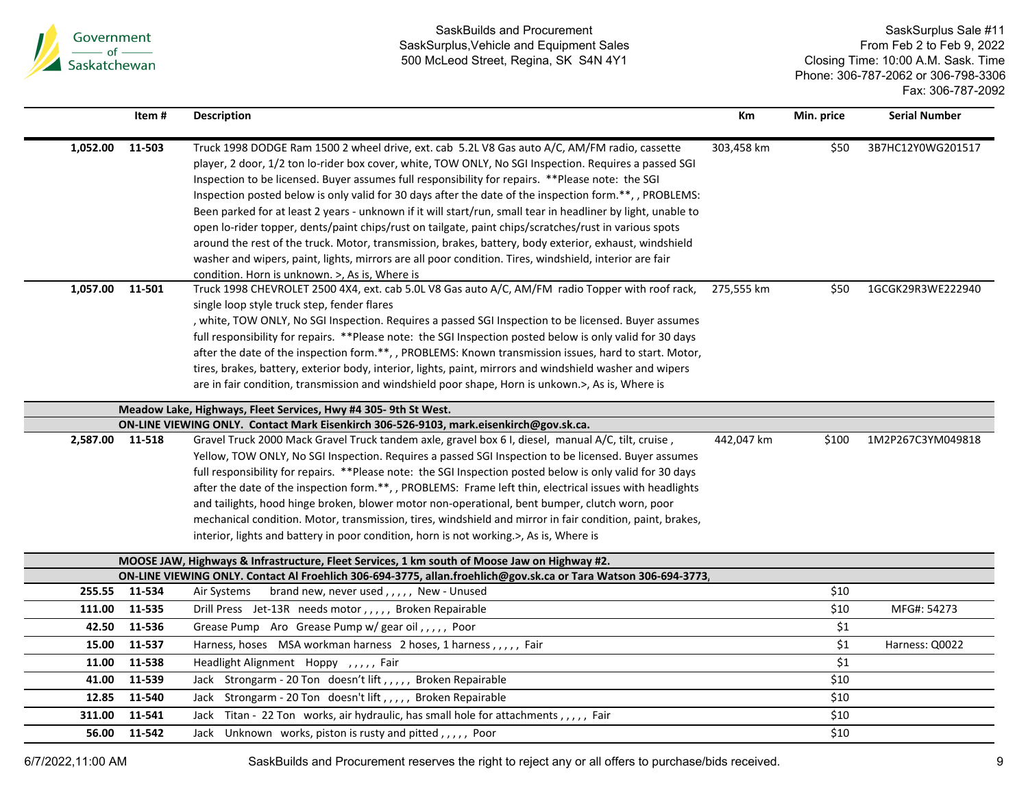

SaskSurplus Sale #11 From Feb 2 to Feb 9, 2022 Closing Time: 10:00 A.M. Sask. Time Phone: 306-787-2062 or 306-798-3306 Fax: 306-787-2092

|                 | Item#  | <b>Description</b>                                                                                                                                                                                                                                                                                                                                                                                                                                                                                                                                                                                                                                                                                                                                                                                                                                                                                                   | Km         | Min. price       | <b>Serial Number</b> |
|-----------------|--------|----------------------------------------------------------------------------------------------------------------------------------------------------------------------------------------------------------------------------------------------------------------------------------------------------------------------------------------------------------------------------------------------------------------------------------------------------------------------------------------------------------------------------------------------------------------------------------------------------------------------------------------------------------------------------------------------------------------------------------------------------------------------------------------------------------------------------------------------------------------------------------------------------------------------|------------|------------------|----------------------|
| 1,052.00        | 11-503 | Truck 1998 DODGE Ram 1500 2 wheel drive, ext. cab 5.2L V8 Gas auto A/C, AM/FM radio, cassette<br>player, 2 door, 1/2 ton lo-rider box cover, white, TOW ONLY, No SGI Inspection. Requires a passed SGI<br>Inspection to be licensed. Buyer assumes full responsibility for repairs. ** Please note: the SGI<br>Inspection posted below is only valid for 30 days after the date of the inspection form.**,, PROBLEMS:<br>Been parked for at least 2 years - unknown if it will start/run, small tear in headliner by light, unable to<br>open lo-rider topper, dents/paint chips/rust on tailgate, paint chips/scratches/rust in various spots<br>around the rest of the truck. Motor, transmission, brakes, battery, body exterior, exhaust, windshield<br>washer and wipers, paint, lights, mirrors are all poor condition. Tires, windshield, interior are fair<br>condition. Horn is unknown. >, As is, Where is | 303,458 km | \$50             | 3B7HC12Y0WG201517    |
| 1,057.00        | 11-501 | Truck 1998 CHEVROLET 2500 4X4, ext. cab 5.0L V8 Gas auto A/C, AM/FM radio Topper with roof rack,<br>single loop style truck step, fender flares<br>, white, TOW ONLY, No SGI Inspection. Requires a passed SGI Inspection to be licensed. Buyer assumes<br>full responsibility for repairs. **Please note: the SGI Inspection posted below is only valid for 30 days<br>after the date of the inspection form.**, , PROBLEMS: Known transmission issues, hard to start. Motor,<br>tires, brakes, battery, exterior body, interior, lights, paint, mirrors and windshield washer and wipers<br>are in fair condition, transmission and windshield poor shape, Horn is unkown.>, As is, Where is                                                                                                                                                                                                                       | 275,555 km | \$50             | 1GCGK29R3WE222940    |
|                 |        | Meadow Lake, Highways, Fleet Services, Hwy #4 305-9th St West.                                                                                                                                                                                                                                                                                                                                                                                                                                                                                                                                                                                                                                                                                                                                                                                                                                                       |            |                  |                      |
| 2,587.00 11-518 |        | ON-LINE VIEWING ONLY. Contact Mark Eisenkirch 306-526-9103, mark.eisenkirch@gov.sk.ca.<br>Gravel Truck 2000 Mack Gravel Truck tandem axle, gravel box 6 I, diesel, manual A/C, tilt, cruise,<br>Yellow, TOW ONLY, No SGI Inspection. Requires a passed SGI Inspection to be licensed. Buyer assumes<br>full responsibility for repairs. **Please note: the SGI Inspection posted below is only valid for 30 days<br>after the date of the inspection form.**, , PROBLEMS: Frame left thin, electrical issues with headlights<br>and tailights, hood hinge broken, blower motor non-operational, bent bumper, clutch worn, poor<br>mechanical condition. Motor, transmission, tires, windshield and mirror in fair condition, paint, brakes,<br>interior, lights and battery in poor condition, horn is not working.>, As is, Where is                                                                                | 442,047 km | \$100            | 1M2P267C3YM049818    |
|                 |        | MOOSE JAW, Highways & Infrastructure, Fleet Services, 1 km south of Moose Jaw on Highway #2.                                                                                                                                                                                                                                                                                                                                                                                                                                                                                                                                                                                                                                                                                                                                                                                                                         |            |                  |                      |
| 255.55          | 11-534 | ON-LINE VIEWING ONLY. Contact Al Froehlich 306-694-3775, allan.froehlich@gov.sk.ca or Tara Watson 306-694-3773,<br>brand new, never used,,,,,, New - Unused<br>Air Systems                                                                                                                                                                                                                                                                                                                                                                                                                                                                                                                                                                                                                                                                                                                                           |            | \$10             |                      |
| 111.00          | 11-535 | Drill Press Jet-13R needs motor,,,,, Broken Repairable                                                                                                                                                                                                                                                                                                                                                                                                                                                                                                                                                                                                                                                                                                                                                                                                                                                               |            | \$10             | MFG#: 54273          |
| 42.50           | 11-536 | Grease Pump Aro Grease Pump w/ gear oil,,,,, Poor                                                                                                                                                                                                                                                                                                                                                                                                                                                                                                                                                                                                                                                                                                                                                                                                                                                                    |            | \$1              |                      |
| 15.00           | 11-537 | Harness, hoses  MSA workman harness  2 hoses, 1 harness,,,,, Fair                                                                                                                                                                                                                                                                                                                                                                                                                                                                                                                                                                                                                                                                                                                                                                                                                                                    |            | $\overline{\$1}$ | Harness: Q0022       |
| 11.00           | 11-538 | Headlight Alignment Hoppy ,,,,, Fair                                                                                                                                                                                                                                                                                                                                                                                                                                                                                                                                                                                                                                                                                                                                                                                                                                                                                 |            | \$1              |                      |
| 41.00           | 11-539 | Jack Strongarm - 20 Ton doesn't lift,,,,, Broken Repairable                                                                                                                                                                                                                                                                                                                                                                                                                                                                                                                                                                                                                                                                                                                                                                                                                                                          |            | \$10             |                      |
| 12.85           | 11-540 | Jack Strongarm - 20 Ton doesn't lift, , , , , Broken Repairable                                                                                                                                                                                                                                                                                                                                                                                                                                                                                                                                                                                                                                                                                                                                                                                                                                                      |            | \$10             |                      |
| 311.00          | 11-541 | Titan - 22 Ton works, air hydraulic, has small hole for attachments,,,,, Fair<br>Jack                                                                                                                                                                                                                                                                                                                                                                                                                                                                                                                                                                                                                                                                                                                                                                                                                                |            | \$10             |                      |
| 56.00           | 11-542 | Jack Unknown works, piston is rusty and pitted,,,,,, Poor                                                                                                                                                                                                                                                                                                                                                                                                                                                                                                                                                                                                                                                                                                                                                                                                                                                            |            | \$10             |                      |

6/7/2022,11:00 AM SaskBuilds and Procurement reserves the right to reject any or all offers to purchase/bids received. 9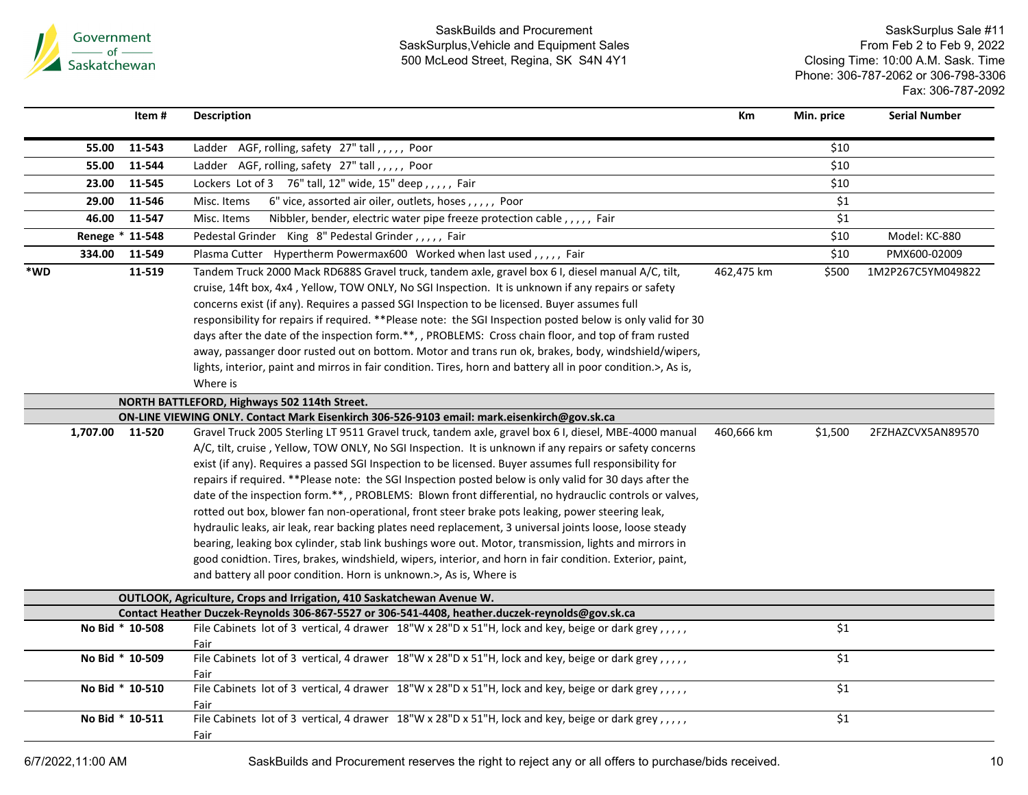

|     |          | Item#           | <b>Description</b>                                                                                                          | Кm         | Min. price | <b>Serial Number</b> |
|-----|----------|-----------------|-----------------------------------------------------------------------------------------------------------------------------|------------|------------|----------------------|
|     | 55.00    | 11-543          | AGF, rolling, safety 27" tall,,,,,, Poor<br>Ladder                                                                          |            | \$10       |                      |
|     | 55.00    | 11-544          | Ladder AGF, rolling, safety 27" tall,,,,, Poor                                                                              |            | \$10       |                      |
|     | 23.00    | 11-545          | Lockers Lot of 3 76" tall, 12" wide, 15" deep,,,,, Fair                                                                     |            | \$10       |                      |
|     | 29.00    | 11-546          | 6" vice, assorted air oiler, outlets, hoses,,,,, Poor<br>Misc. Items                                                        |            | \$1        |                      |
|     | 46.00    | 11-547          | Misc. Items<br>Nibbler, bender, electric water pipe freeze protection cable, , , , , Fair                                   |            | \$1        |                      |
|     |          | Renege * 11-548 | Pedestal Grinder King 8" Pedestal Grinder,,,,, Fair                                                                         |            | \$10       | Model: KC-880        |
|     | 334.00   | 11-549          | Plasma Cutter Hypertherm Powermax600 Worked when last used,,,,, Fair                                                        |            | \$10       | PMX600-02009         |
| *WD |          | 11-519          | Tandem Truck 2000 Mack RD688S Gravel truck, tandem axle, gravel box 6 I, diesel manual A/C, tilt,                           | 462,475 km | \$500      | 1M2P267C5YM049822    |
|     |          |                 | cruise, 14ft box, 4x4, Yellow, TOW ONLY, No SGI Inspection. It is unknown if any repairs or safety                          |            |            |                      |
|     |          |                 | concerns exist (if any). Requires a passed SGI Inspection to be licensed. Buyer assumes full                                |            |            |                      |
|     |          |                 | responsibility for repairs if required. **Please note: the SGI Inspection posted below is only valid for 30                 |            |            |                      |
|     |          |                 | days after the date of the inspection form.**, , PROBLEMS: Cross chain floor, and top of fram rusted                        |            |            |                      |
|     |          |                 | away, passanger door rusted out on bottom. Motor and trans run ok, brakes, body, windshield/wipers,                         |            |            |                      |
|     |          |                 | lights, interior, paint and mirros in fair condition. Tires, horn and battery all in poor condition.>, As is,               |            |            |                      |
|     |          |                 | Where is                                                                                                                    |            |            |                      |
|     |          |                 | NORTH BATTLEFORD, Highways 502 114th Street.                                                                                |            |            |                      |
|     |          |                 | ON-LINE VIEWING ONLY. Contact Mark Eisenkirch 306-526-9103 email: mark.eisenkirch@gov.sk.ca                                 |            |            |                      |
|     | 1,707.00 | 11-520          | Gravel Truck 2005 Sterling LT 9511 Gravel truck, tandem axle, gravel box 6 I, diesel, MBE-4000 manual                       | 460,666 km | \$1,500    | 2FZHAZCVX5AN89570    |
|     |          |                 | A/C, tilt, cruise, Yellow, TOW ONLY, No SGI Inspection. It is unknown if any repairs or safety concerns                     |            |            |                      |
|     |          |                 | exist (if any). Requires a passed SGI Inspection to be licensed. Buyer assumes full responsibility for                      |            |            |                      |
|     |          |                 | repairs if required. **Please note: the SGI Inspection posted below is only valid for 30 days after the                     |            |            |                      |
|     |          |                 | date of the inspection form.**,, PROBLEMS: Blown front differential, no hydrauclic controls or valves,                      |            |            |                      |
|     |          |                 | rotted out box, blower fan non-operational, front steer brake pots leaking, power steering leak,                            |            |            |                      |
|     |          |                 | hydraulic leaks, air leak, rear backing plates need replacement, 3 universal joints loose, loose steady                     |            |            |                      |
|     |          |                 | bearing, leaking box cylinder, stab link bushings wore out. Motor, transmission, lights and mirrors in                      |            |            |                      |
|     |          |                 | good conidtion. Tires, brakes, windshield, wipers, interior, and horn in fair condition. Exterior, paint,                   |            |            |                      |
|     |          |                 | and battery all poor condition. Horn is unknown.>, As is, Where is                                                          |            |            |                      |
|     |          |                 | OUTLOOK, Agriculture, Crops and Irrigation, 410 Saskatchewan Avenue W.                                                      |            |            |                      |
|     |          |                 | Contact Heather Duczek-Reynolds 306-867-5527 or 306-541-4408, heather duczek-reynolds@gov.sk.ca                             |            |            |                      |
|     |          | No Bid * 10-508 | File Cabinets lot of 3 vertical, 4 drawer 18"W x 28"D x 51"H, lock and key, beige or dark grey,,,,,                         |            | \$1        |                      |
|     |          |                 | Fair                                                                                                                        |            |            |                      |
|     |          | No Bid * 10-509 | File Cabinets lot of 3 vertical, 4 drawer $18''W \times 28''D \times 51''H$ , lock and key, beige or dark grey,,,,,<br>Fair |            | \$1        |                      |
|     |          | No Bid * 10-510 | File Cabinets lot of 3 vertical, 4 drawer 18"W x 28"D x 51"H, lock and key, beige or dark grey,,,,,                         |            | \$1        |                      |
|     |          |                 | Fair                                                                                                                        |            |            |                      |
|     |          | No Bid * 10-511 | File Cabinets lot of 3 vertical, 4 drawer 18"W x 28"D x 51"H, lock and key, beige or dark grey,,,,,                         |            | \$1        |                      |
|     |          |                 | Fair                                                                                                                        |            |            |                      |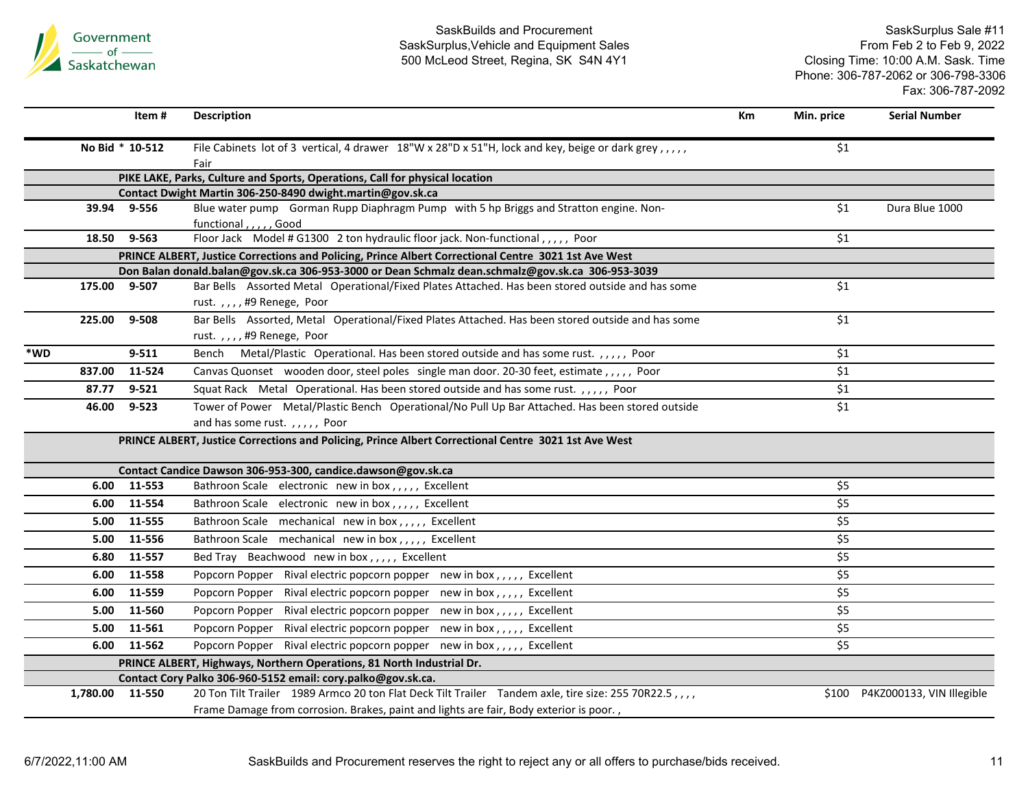

|        | Item #             | <b>Description</b>                                                                                                                         | <b>Km</b> | Min. price                | <b>Serial Number</b>            |
|--------|--------------------|--------------------------------------------------------------------------------------------------------------------------------------------|-----------|---------------------------|---------------------------------|
|        | No Bid * 10-512    | File Cabinets lot of 3 vertical, 4 drawer 18"W x 28"D x 51"H, lock and key, beige or dark grey,,,,,                                        |           | \$1                       |                                 |
|        |                    | Fair                                                                                                                                       |           |                           |                                 |
|        |                    | PIKE LAKE, Parks, Culture and Sports, Operations, Call for physical location<br>Contact Dwight Martin 306-250-8490 dwight.martin@gov.sk.ca |           |                           |                                 |
|        | 39.94 9-556        | Blue water pump Gorman Rupp Diaphragm Pump with 5 hp Briggs and Stratton engine. Non-                                                      |           | \$1                       | Dura Blue 1000                  |
|        |                    | functional,,,,,Good                                                                                                                        |           |                           |                                 |
|        | 9-563<br>18.50     | Floor Jack Model # G1300 2 ton hydraulic floor jack. Non-functional, , , , , Poor                                                          |           | \$1                       |                                 |
|        |                    | PRINCE ALBERT, Justice Corrections and Policing, Prince Albert Correctional Centre 3021 1st Ave West                                       |           |                           |                                 |
|        |                    | Don Balan donald.balan@gov.sk.ca 306-953-3000 or Dean Schmalz dean.schmalz@gov.sk.ca 306-953-3039                                          |           |                           |                                 |
|        | 175.00 9-507       | Bar Bells Assorted Metal Operational/Fixed Plates Attached. Has been stored outside and has some                                           |           | \$1                       |                                 |
|        |                    | rust.,,,,#9 Renege, Poor                                                                                                                   |           |                           |                                 |
| 225.00 | $9 - 508$          | Bar Bells Assorted, Metal Operational/Fixed Plates Attached. Has been stored outside and has some                                          |           | \$1                       |                                 |
|        |                    | rust.,,,,#9 Renege, Poor                                                                                                                   |           |                           |                                 |
| *WD    | $9 - 511$          | Bench Metal/Plastic Operational. Has been stored outside and has some rust.,,,,,, Poor                                                     |           | \$1                       |                                 |
| 837.00 | 11-524             | Canvas Quonset wooden door, steel poles single man door. 20-30 feet, estimate,,,,, Poor                                                    |           | $$1$$                     |                                 |
|        | $9 - 521$<br>87.77 | Squat Rack Metal Operational. Has been stored outside and has some rust.,,,,, Poor                                                         |           | \$1                       |                                 |
|        | 46.00<br>$9 - 523$ | Tower of Power Metal/Plastic Bench Operational/No Pull Up Bar Attached. Has been stored outside                                            |           | \$1                       |                                 |
|        |                    | and has some rust.,,,,, Poor                                                                                                               |           |                           |                                 |
|        |                    | PRINCE ALBERT, Justice Corrections and Policing, Prince Albert Correctional Centre 3021 1st Ave West                                       |           |                           |                                 |
|        |                    | Contact Candice Dawson 306-953-300, candice.dawson@gov.sk.ca                                                                               |           |                           |                                 |
|        | 6.00<br>11-553     | Bathroon Scale electronic new in box,,,,, Excellent                                                                                        |           | \$5                       |                                 |
|        | 11-554<br>6.00     | Bathroon Scale electronic new in box,,,,, Excellent                                                                                        |           | \$5                       |                                 |
|        | 11-555<br>5.00     | Bathroon Scale mechanical new in box,,,,, Excellent                                                                                        |           | \$5                       |                                 |
|        | 11-556<br>5.00     | Bathroon Scale mechanical new in box,,,,, Excellent                                                                                        |           | \$5                       |                                 |
|        | 11-557<br>6.80     | Bed Tray Beachwood new in box,,,,, Excellent                                                                                               |           | \$5                       |                                 |
|        | 11-558<br>6.00     | Popcorn Popper Rival electric popcorn popper new in box,,,,, Excellent                                                                     |           | \$5                       |                                 |
|        | 6.00<br>11-559     | Popcorn Popper Rival electric popcorn popper new in box,,,,, Excellent                                                                     |           | $\overline{\overline{5}}$ |                                 |
|        | 11-560<br>5.00     | Popcorn Popper Rival electric popcorn popper new in box,,,,, Excellent                                                                     |           | \$5                       |                                 |
|        | 5.00<br>11-561     | Popcorn Popper Rival electric popcorn popper new in box,,,,, Excellent                                                                     |           | \$5                       |                                 |
|        | 6.00<br>11-562     | Popcorn Popper Rival electric popcorn popper new in box,,,,, Excellent                                                                     |           | \$5                       |                                 |
|        |                    | PRINCE ALBERT, Highways, Northern Operations, 81 North Industrial Dr.                                                                      |           |                           |                                 |
|        |                    | Contact Cory Palko 306-960-5152 email: cory.palko@gov.sk.ca.                                                                               |           |                           |                                 |
|        | 1,780.00 11-550    | 20 Ton Tilt Trailer 1989 Armco 20 ton Flat Deck Tilt Trailer Tandem axle, tire size: 255 70R22.5,,,,                                       |           |                           | \$100 P4KZ000133, VIN Illegible |
|        |                    | Frame Damage from corrosion. Brakes, paint and lights are fair, Body exterior is poor.,                                                    |           |                           |                                 |
|        |                    |                                                                                                                                            |           |                           |                                 |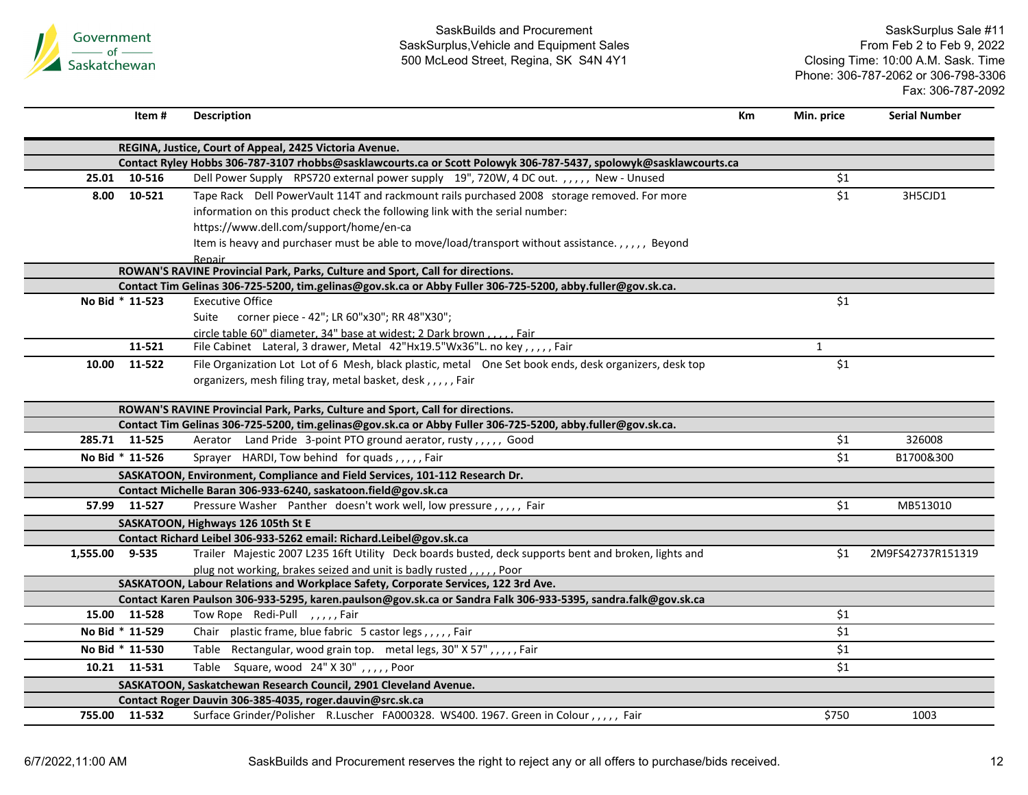

| Item#           | <b>Description</b>                                                                                                | Km | Min. price       | <b>Serial Number</b> |
|-----------------|-------------------------------------------------------------------------------------------------------------------|----|------------------|----------------------|
|                 | REGINA, Justice, Court of Appeal, 2425 Victoria Avenue.                                                           |    |                  |                      |
|                 | Contact Ryley Hobbs 306-787-3107 rhobbs@sasklawcourts.ca or Scott Polowyk 306-787-5437, spolowyk@sasklawcourts.ca |    |                  |                      |
| 25.01<br>10-516 | Dell Power Supply RPS720 external power supply 19", 720W, 4 DC out.,,,,, New - Unused                             |    | \$1              |                      |
| 10-521<br>8.00  | Tape Rack Dell PowerVault 114T and rackmount rails purchased 2008 storage removed. For more                       |    | \$1              | 3H5CJD1              |
|                 | information on this product check the following link with the serial number:                                      |    |                  |                      |
|                 | https://www.dell.com/support/home/en-ca                                                                           |    |                  |                      |
|                 | Item is heavy and purchaser must be able to move/load/transport without assistance.,,,,, Beyond                   |    |                  |                      |
|                 | Repair                                                                                                            |    |                  |                      |
|                 | ROWAN'S RAVINE Provincial Park, Parks, Culture and Sport, Call for directions.                                    |    |                  |                      |
|                 | Contact Tim Gelinas 306-725-5200, tim.gelinas@gov.sk.ca or Abby Fuller 306-725-5200, abby.fuller@gov.sk.ca.       |    |                  |                      |
| No Bid * 11-523 | <b>Executive Office</b>                                                                                           |    | \$1              |                      |
|                 | Suite<br>corner piece - 42"; LR 60"x30"; RR 48"X30";                                                              |    |                  |                      |
|                 | circle table 60" diameter, 34" base at widest; 2 Dark brown, , Fair                                               |    |                  |                      |
| 11-521          | File Cabinet Lateral, 3 drawer, Metal 42"Hx19.5"Wx36"L. no key,,,,, Fair                                          |    | $\mathbf{1}$     |                      |
| 10.00<br>11-522 | File Organization Lot Lot of 6 Mesh, black plastic, metal One Set book ends, desk organizers, desk top            |    | $\overline{\$1}$ |                      |
|                 | organizers, mesh filing tray, metal basket, desk,,,,,,Fair                                                        |    |                  |                      |
|                 | ROWAN'S RAVINE Provincial Park, Parks, Culture and Sport, Call for directions.                                    |    |                  |                      |
|                 | Contact Tim Gelinas 306-725-5200, tim.gelinas@gov.sk.ca or Abby Fuller 306-725-5200, abby.fuller@gov.sk.ca.       |    |                  |                      |
| 285.71 11-525   | Aerator Land Pride 3-point PTO ground aerator, rusty,,,,, Good                                                    |    | \$1              | 326008               |
| No Bid * 11-526 | Sprayer HARDI, Tow behind for quads,,,,,Fair                                                                      |    | \$1              | B1700&300            |
|                 | SASKATOON, Environment, Compliance and Field Services, 101-112 Research Dr.                                       |    |                  |                      |
|                 | Contact Michelle Baran 306-933-6240, saskatoon.field@gov.sk.ca                                                    |    |                  |                      |
| 57.99 11-527    | Pressure Washer Panther doesn't work well, low pressure,,,,, Fair                                                 |    | \$1              | MB513010             |
|                 | SASKATOON, Highways 126 105th St E                                                                                |    |                  |                      |
|                 | Contact Richard Leibel 306-933-5262 email: Richard.Leibel@gov.sk.ca                                               |    |                  |                      |
| 1,555.00 9-535  | Trailer Majestic 2007 L235 16ft Utility Deck boards busted, deck supports bent and broken, lights and             |    | \$1              | 2M9FS42737R151319    |
|                 | plug not working, brakes seized and unit is badly rusted,,,,,, Poor                                               |    |                  |                      |
|                 | SASKATOON, Labour Relations and Workplace Safety, Corporate Services, 122 3rd Ave.                                |    |                  |                      |
|                 | Contact Karen Paulson 306-933-5295, karen.paulson@gov.sk.ca or Sandra Falk 306-933-5395, sandra.falk@gov.sk.ca    |    |                  |                      |
| 15.00<br>11-528 | Tow Rope Redi-Pull , , , , , Fair                                                                                 |    | \$1              |                      |
| No Bid * 11-529 | Chair plastic frame, blue fabric 5 castor legs,,,,,Fair                                                           |    | \$1              |                      |
| No Bid * 11-530 | Table Rectangular, wood grain top. metal legs, 30" X 57",,,,, Fair                                                |    | \$1              |                      |
| 10.21 11-531    | Table Square, wood 24" X 30",,,,, Poor                                                                            |    | \$1              |                      |
|                 | SASKATOON, Saskatchewan Research Council, 2901 Cleveland Avenue.                                                  |    |                  |                      |
|                 | Contact Roger Dauvin 306-385-4035, roger.dauvin@src.sk.ca                                                         |    |                  |                      |
| 755.00 11-532   | Surface Grinder/Polisher R.Luscher FA000328. WS400. 1967. Green in Colour,,,,, Fair                               |    | \$750            | 1003                 |